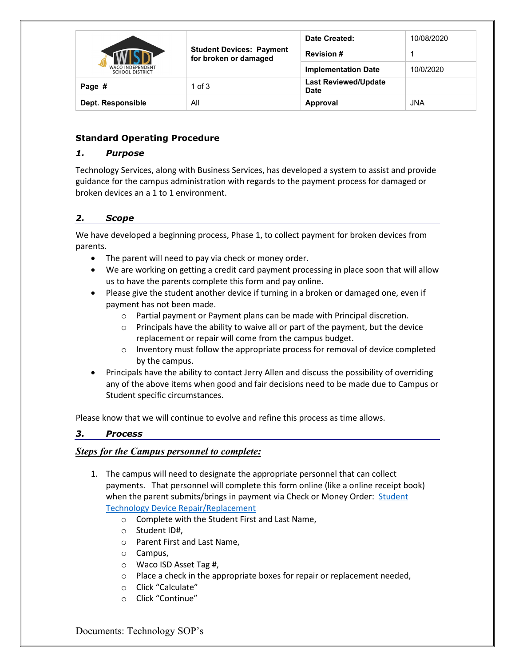|                                                   |                                                          | Date Created:                              | 10/08/2020 |
|---------------------------------------------------|----------------------------------------------------------|--------------------------------------------|------------|
| <b>WACO INDEPENDENT</b><br><b>SCHOOL DISTRICT</b> | <b>Student Devices: Payment</b><br>for broken or damaged | <b>Revision#</b>                           |            |
|                                                   |                                                          | <b>Implementation Date</b>                 | 10/0/2020  |
| Page #                                            | $1$ of $3$                                               | <b>Last Reviewed/Update</b><br><b>Date</b> |            |
| Dept. Responsible                                 | All                                                      | Approval                                   | <b>JNA</b> |

# **Standard Operating Procedure**

#### *1. Purpose*

Technology Services, along with Business Services, has developed a system to assist and provide guidance for the campus administration with regards to the payment process for damaged or broken devices an a 1 to 1 environment.

# *2. Scope*

We have developed a beginning process, Phase 1, to collect payment for broken devices from parents.

- The parent will need to pay via check or money order.
- We are working on getting a credit card payment processing in place soon that will allow us to have the parents complete this form and pay online.
- Please give the student another device if turning in a broken or damaged one, even if payment has not been made.
	- o Partial payment or Payment plans can be made with Principal discretion.
	- $\circ$  Principals have the ability to waive all or part of the payment, but the device replacement or repair will come from the campus budget.
	- o Inventory must follow the appropriate process for removal of device completed by the campus.
- Principals have the ability to contact Jerry Allen and discuss the possibility of overriding any of the above items when good and fair decisions need to be made due to Campus or Student specific circumstances.

Please know that we will continue to evolve and refine this process as time allows.

### *3. Process*

### *Steps for the Campus personnel to complete:*

- 1. The campus will need to designate the appropriate personnel that can collect payments. That personnel will complete this form online (like a online receipt book) when the parent submits/brings in payment via Check or Money Order: [Student](https://fs19.formsite.com/RenaissanceSurvey/cawtiilpl0/index.html)  [Technology Device Repair/Replacement](https://fs19.formsite.com/RenaissanceSurvey/cawtiilpl0/index.html)
	- o Complete with the Student First and Last Name,
	- o Student ID#,
	- o Parent First and Last Name,
	- o Campus,
	- o Waco ISD Asset Tag #,
	- $\circ$  Place a check in the appropriate boxes for repair or replacement needed,
	- o Click "Calculate"
	- o Click "Continue"

Documents: Technology SOP's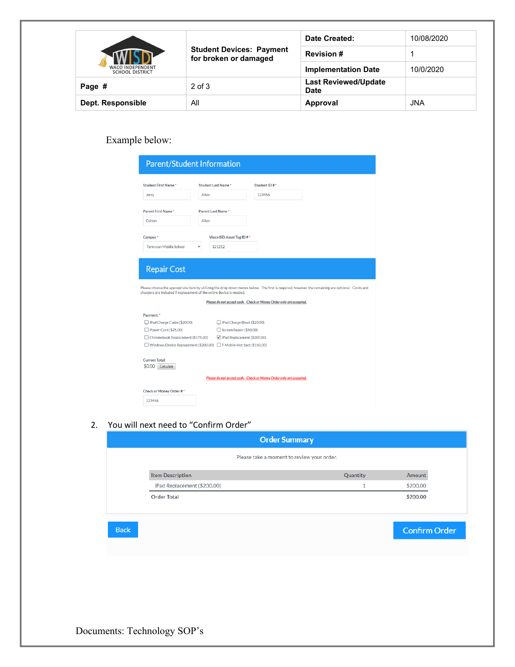|                                                   | <b>Student Devices: Payment</b><br>for broken or damaged | Date Created:                              | 10/08/2020 |
|---------------------------------------------------|----------------------------------------------------------|--------------------------------------------|------------|
| <b>WACO INDEPENDENT</b><br><b>SCHOOL DISTRICT</b> |                                                          | <b>Revision#</b>                           |            |
|                                                   |                                                          | <b>Implementation Date</b>                 | 10/0/2020  |
| Page #                                            | $2$ of $3$                                               | <b>Last Reviewed/Update</b><br><b>Date</b> |            |
| Dept. Responsible                                 | All                                                      | Approval                                   | <b>JNA</b> |

# Example below:

| <b>Parent/Student Information</b>                                                                        |                                                                                                                                                              |                                                                    |                                                                                                                                                 |
|----------------------------------------------------------------------------------------------------------|--------------------------------------------------------------------------------------------------------------------------------------------------------------|--------------------------------------------------------------------|-------------------------------------------------------------------------------------------------------------------------------------------------|
| <b>Student First Name*</b><br>Jerry                                                                      | <b>Student Last Name*</b><br>Allen                                                                                                                           | Student ID#*<br>123456                                             |                                                                                                                                                 |
| Parent First Name*                                                                                       | Parent Last Name*                                                                                                                                            |                                                                    |                                                                                                                                                 |
| Colton<br>Campus <sup>*</sup>                                                                            | Allen<br>Waco ISD Asset Tag ID#*                                                                                                                             |                                                                    |                                                                                                                                                 |
| <b>Tennyson Middle School</b>                                                                            | 121212                                                                                                                                                       |                                                                    |                                                                                                                                                 |
| <b>Repair Cost</b>                                                                                       |                                                                                                                                                              |                                                                    |                                                                                                                                                 |
| chargers are included if replacement of the entire device is needed.                                     |                                                                                                                                                              |                                                                    | Please choose the appropriate item by utilizing the drop down menus below. The first is required, however the remaining are optional. Cords and |
|                                                                                                          |                                                                                                                                                              | Please do not accept cash. Check or Money Order only are accepted. |                                                                                                                                                 |
| Payment: *<br>□ iPad Charge Cable (\$20.00)<br>Power Cord (\$25.00)<br>Chromebook Replacement (\$175.00) | □ iPad Charge Block (\$20.00)<br>Screen Repair (\$50.00)<br>Pad Replacement (\$200.00)<br>Windows Device Replacement (\$200.00) T-Mobile Hot Spot (\$150.00) |                                                                    |                                                                                                                                                 |
| <b>Current Total:</b><br>\$0.00<br>Calculate                                                             |                                                                                                                                                              |                                                                    |                                                                                                                                                 |
|                                                                                                          |                                                                                                                                                              | Please do not accept cash. Check or Money Order only are accepted. |                                                                                                                                                 |
| Check or Money Order #*                                                                                  |                                                                                                                                                              |                                                                    |                                                                                                                                                 |
| 123456                                                                                                   |                                                                                                                                                              |                                                                    |                                                                                                                                                 |

2. You will next need to "Confirm Order"

| Quantity | <b>Amount</b>        |
|----------|----------------------|
| и        | \$200.00             |
|          | \$200.00             |
|          | <b>Confirm Order</b> |
|          |                      |